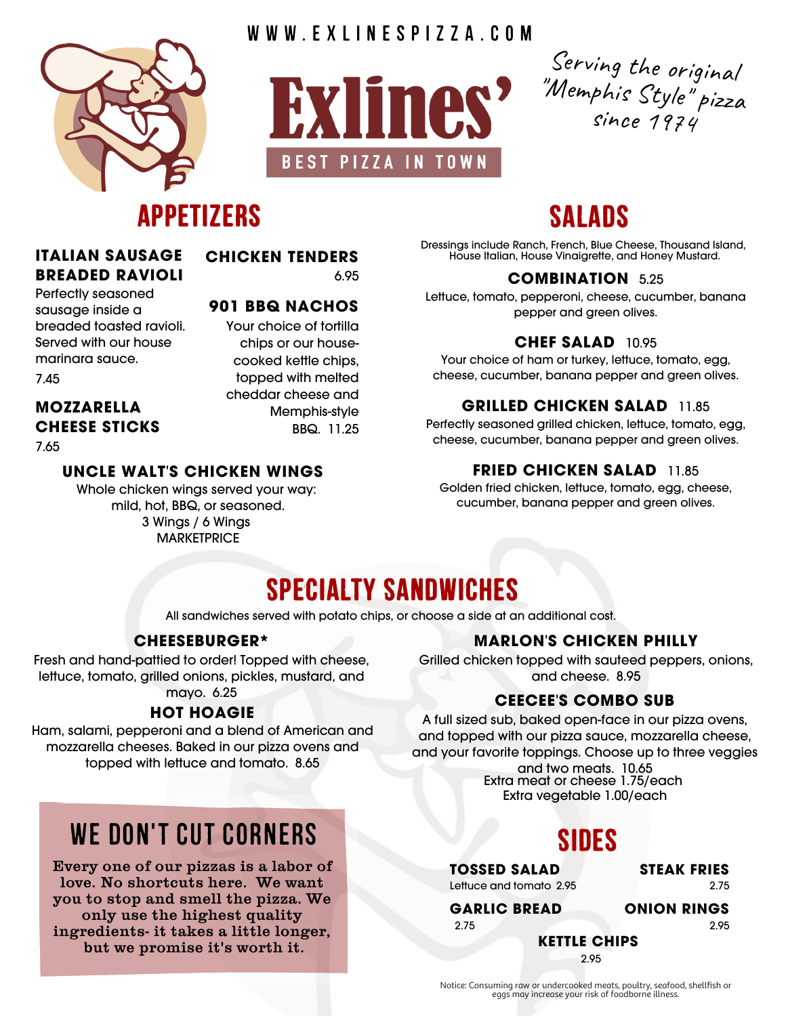

W W W . E X L I N E S P I Z Z A . C O M



Serving the original "Memphis Style " pizza since 1974

# **Appetizers**

#### **ITALIAN SAUSAGE BREADED RAVIOLI**

**CHICKEN TENDERS** 6.95

> chips or our housecooked kettle chips, topped with melted cheddar cheese and

> > Memphis-style BBQ. 11.25

#### **901 BBQ NACHOS** Your choice of tortilla

Perfectly seasoned sausage inside a breaded toasted ravioli. Served with our house marinara sauce.

7.45

### **MOZZARELLA CHEESE STICKS**

7.65

### **UNCLE WALT'S CHICKEN WINGS**

Whole chicken wings served your way: mild, hot, BBQ, or seasoned. 3 Wings / 6 Wings **MARKETPRICE** 

# **Salads**

Dressings include Ranch, French, Blue Cheese, Thousand Island, House Italian, House Vinaigrette, and Honey Mustard.

#### **COMBINATION** 5.25

Lettuce, tomato, pepperoni, cheese, cucumber, banana pepper and green olives.

#### **CHEF SALAD** 10.95

Your choice of ham or turkey, lettuce, tomato, egg, cheese, cucumber, banana pepper and green olives.

#### **GRILLED CHICKEN SALAD** 11.85

Perfectly seasoned grilled chicken, lettuce, tomato, egg, cheese, cucumber, banana pepper and green olives.

#### **FRIED CHICKEN SALAD** 11.85

Golden fried chicken, lettuce, tomato, egg, cheese, cucumber, banana pepper and green olives.

# **Specialty Sandwiches**

All sandwiches served with potato chips, or choose a side at an additional cost.

#### **CHEESEBURGER\***

Fresh and hand-pattied to order! Topped with cheese, lettuce, tomato, grilled onions, pickles, mustard, and

#### **HOT HOAGIE**

Ham, salami, pepperoni and a blend of American and mozzarella cheeses. Baked in our pizza ovens and topped with lettuce and tomato. 8.65

# WE DON'T CUT CORNERS

Every one of our pizzas is a labor of love. No shortcuts here. We want you to stop and smell the pizza. We only use the highest quality ingredients- it takes a little longer, but we promise it's worth it.

#### **MARLON'S CHICKEN PHILLY**

Grilled chicken topped with sauteed peppers, onions, and cheese. 8.95

### mayo. 6.25 **CEECEE'S COMBO SUB**

A full sized sub, baked open-face in our pizza ovens, and topped with our pizza sauce, mozzarella cheese, and your favorite toppings. Choose up to three veggies and two meats. 10.65

Extra meat or cheese 1.75/each Extra vegetable 1.00/each

# **Sides**

**TOSSED SALAD** Lettuce and tomato 2.95 **STEAK FRIES** 2.75

**GARLIC BREAD** 2.75

**ONION RINGS** 2.95

**KETTLE CHIPS** 2.95